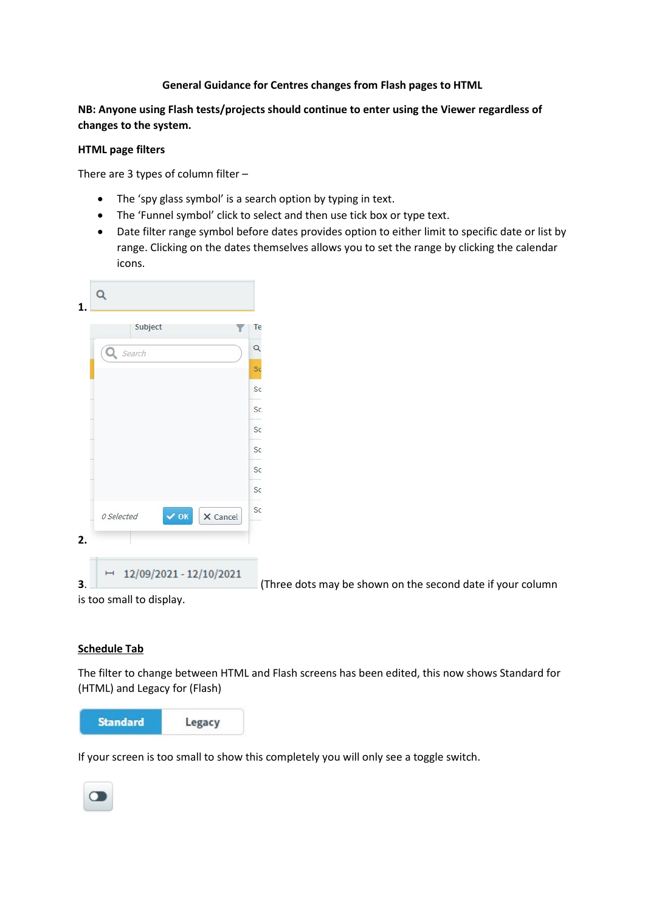## **General Guidance for Centres changes from Flash pages to HTML**

# **NB: Anyone using Flash tests/projects should continue to enter using the Viewer regardless of changes to the system.**

### **HTML page filters**

There are 3 types of column filter –

- The 'spy glass symbol' is a search option by typing in text.
- The 'Funnel symbol' click to select and then use tick box or type text.
- Date filter range symbol before dates provides option to either limit to specific date or list by range. Clicking on the dates themselves allows you to set the range by clicking the calendar icons.

|    |            | Subject |                 |          | Te |
|----|------------|---------|-----------------|----------|----|
|    | Q Search   |         |                 |          | Q  |
|    |            |         |                 |          | Sc |
|    |            |         |                 |          | Sc |
|    |            |         |                 |          | Sc |
|    |            |         |                 |          | Sc |
|    |            |         |                 |          | Sc |
|    |            |         |                 |          | Sc |
|    |            |         |                 |          | Sc |
|    | 0 Selected |         | $\checkmark$ ok | X Cancel | Sc |
| 2. |            |         |                 |          |    |

**3**. (Three dots may be shown on the second date if your column

is too small to display.

#### **Schedule Tab**

The filter to change between HTML and Flash screens has been edited, this now shows Standard for (HTML) and Legacy for (Flash)



If your screen is too small to show this completely you will only see a toggle switch.